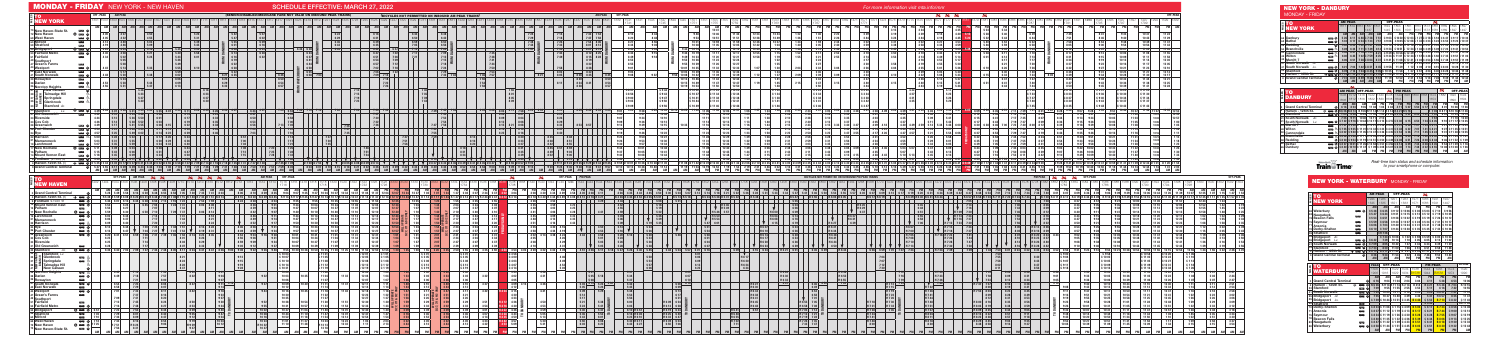|               |                                              |                   | <b>AM PEAK</b>                |                      | <b>OFF-PEAK</b>     |                          | శశ                            |                |                                  |                                                                                                                                                                       |
|---------------|----------------------------------------------|-------------------|-------------------------------|----------------------|---------------------|--------------------------|-------------------------------|----------------|----------------------------------|-----------------------------------------------------------------------------------------------------------------------------------------------------------------------|
| 53            | то                                           | 1925              | 1935                          | 1951                 | 1963                | 1971                     | 1983                          | 1991           | 1997                             |                                                                                                                                                                       |
| Ē             | <b>NEW YORK</b>                              | 1525              | 1535                          | 1551                 | 1563                | 1571                     | 1583                          | 1591           | 1497                             |                                                                                                                                                                       |
|               |                                              | AM                | <b>AM</b>                     | <b>AM</b>            | <b>AM</b>           | <b>PM</b>                | <b>PM</b>                     | PM             | <b>PM</b>                        |                                                                                                                                                                       |
|               | 88 Waterbury<br>— ನಿ                         | C <sub>5</sub> 38 | C 6 35                        | C <sub>912</sub>     | C 1206              | C 2 03                   | C <sub>503</sub>              | C 7 10         | C956                             |                                                                                                                                                                       |
| 83            | Naugatuck                                    | C <sub>547</sub>  | C644                          | C.921                | C 12 15             | C 2 12                   | C <sub>512</sub>              | C 7 19         | C 1005                           |                                                                                                                                                                       |
| 78            | معت<br>Beacon Falls                          | C <sub>554</sub>  | C <sub>651</sub>              | C 9 28               | C 12 22             | C <sub>219</sub>         | C <sub>519</sub>              | $C$ 7 26       | C 10 12                          |                                                                                                                                                                       |
| 75            | Seymour<br><b>The Second</b>                 | C <sub>559</sub>  | C <sub>656</sub>              |                      | C 9 33 C 12 27      | C 2 24                   | C 5 24                        | $C$ 7 31       | C 10 17                          |                                                                                                                                                                       |
| 71            | Ē<br><b>Ansonia</b>                          | C <sub>606</sub>  | $C$ $7$ $03$                  | C940                 | C 12 34             | C <sub>2</sub> 31        | C <sub>531</sub>              | C 7 38         | C 10 24                          |                                                                                                                                                                       |
| 70            | <b>The Second</b><br>Derby-Shelton           | $C6$ 10           | C 707                         |                      | C 9 44 C 12 38      |                          | C 2 35 C 5 35                 | C 7 42         | C 10 28                          |                                                                                                                                                                       |
| 59            | Stratford<br>Ē                               |                   | <b>CH 7 26</b>                |                      |                     |                          |                               |                |                                  |                                                                                                                                                                       |
| 55            | <b>Bridgeport</b><br>Ar.                     |                   | $C$ 7 34                      | $C$ 1008             | C 102               | C <sub>259</sub>         | C <sub>559</sub>              | C 8 05         | $C$ 10 54                        |                                                                                                                                                                       |
| 55            | <b>Bridgeport</b><br>$\bullet$<br>مسم<br>Lv. | C 6 42            | 7 3 9                         | 1014                 | 110                 | 305                      | 605                           | 812            | 11 02                            |                                                                                                                                                                       |
| 41            | $\bullet$<br>l<br><b>South Norwalk</b>       | $C$ 709           | 805                           | 1042                 | 137                 | 3 3 3                    | 633                           | 8 3 9          | 1130                             |                                                                                                                                                                       |
| 33            | Ē<br>$\bullet$<br><b>Stamford</b>            | $C$ 7 23          | 8 20                          | 11 00                | 156                 | 351                      | $6\overline{51}$              | 858            | 1148                             |                                                                                                                                                                       |
| 4             | Harlem - 125th St.<br>土華<br>$\bullet$        | D 8 13            | D911                          | $\overline{D}$ 11 42 | $D$ 241             | D 4 35 D 7 37            |                               | D 941          | D 12 33                          |                                                                                                                                                                       |
| $\Omega$      | $\bullet$<br><b>Grand Central Terminal</b>   | 8 2 6             | 924                           | 11 54                | 252                 | 4 4 6                    | 748                           | 952            | 12 44                            |                                                                                                                                                                       |
|               |                                              | AM                | AM                            | AM                   | <b>PM</b>           | <b>PM</b>                | <b>PM</b>                     | PM             | AM                               |                                                                                                                                                                       |
|               |                                              |                   |                               |                      |                     |                          |                               |                |                                  |                                                                                                                                                                       |
|               |                                              | <b>PEAK</b>       |                               | <b>OFF-PEAK</b>      |                     |                          |                               | <b>PM PEAK</b> |                                  | OFF-PEAK                                                                                                                                                              |
| $\frac{8}{1}$ | TO                                           | 1506              | 1516                          | 1522                 | 1534                | 1538                     | 1544                          | 1456           | 1574                             | 1590                                                                                                                                                                  |
| W             | <b>WATERBURY</b>                             | 1906              | 1916                          | 1922                 | 1934                | <b>B1538</b>             | 1944                          | <b>B3556</b>   | 1974                             | 1990                                                                                                                                                                  |
|               |                                              | <b>AM</b>         | AM                            | AM                   | <b>PM</b>           | <b>PM</b>                | <b>PM</b>                     |                | <b>PM</b><br><b>PM</b>           |                                                                                                                                                                       |
| $\mathbf 0$   | <b>Grand Central Terminal</b>                | Q<br>616          | 904                           | 11 04                | 204                 | 304                      | 4 1 1                         |                | 5 28<br>653                      |                                                                                                                                                                       |
| 4             | Harlem - 125th St.<br>∓<br><b>First</b>      | <b>QR626</b>      |                               | R914R1114            | R 2 14              | R 314                    | R421                          | R 5 38         | R 703                            |                                                                                                                                                                       |
| 33            | $\rightarrow$<br><b>Stamford</b>             | ®<br>709          | 955                           | 11 55                | 255                 | 353                      | 511                           |                | 616<br>742                       |                                                                                                                                                                       |
| 41            | ▄<br><b>South Norwalk</b>                    | $\bullet$<br>725  | 10 09                         | 1211                 | 310                 | 409                      | 523                           | H 6 27         | 757                              |                                                                                                                                                                       |
| 55            | Ē<br><b>Bridgeport</b><br>Ar                 | $\bullet$<br>755  | 1037                          | 12 40                | 3 3 9               | 4 3 6                    | 547                           | H 6 57         | 825                              |                                                                                                                                                                       |
|               | 55 Bridgeport<br>Lv.                         |                   | C 7 59 C 10 44 C 12 51 C 3 45 |                      |                     | <b>B446</b>              | C <sub>552</sub>              | <b>B713</b>    | C 8 32                           |                                                                                                                                                                       |
| 59            | $\overline{\phantom{0}}$<br><b>Stratford</b> |                   |                               |                      |                     |                          | C <sub>559</sub>              |                |                                  |                                                                                                                                                                       |
| 70            | Derby-Shelton<br>$\blacksquare$              |                   | C 8 23 C 11 08                |                      | C 1 15 C 4 09       | <b>B506</b>              | C617                          | <b>B733</b>    | C856                             |                                                                                                                                                                       |
| 71            | Ansonia<br><b>The Second</b>                 |                   | C 8 27 C 11 12                |                      | C 1 19 C 4 13       | <b>B517</b>              | C <sub>6</sub> 21             | <b>B744</b>    | C <sub>900</sub>                 |                                                                                                                                                                       |
| 75            | مست<br>l Sevmour                             |                   | C 8 34 C 11 19                |                      | C 1 26 C 4 20       | <b>B528</b>              | C <sub>628</sub>              | <b>B755</b>    | C <sub>907</sub>                 |                                                                                                                                                                       |
| 78            | Beacon Falls                                 |                   | C 8 40 C 11 25                |                      | C 1 32 C 4 26       | <b>B</b> 5 39            | C 6 34                        | <b>B</b> 806   | C <sub>913</sub>                 |                                                                                                                                                                       |
| 83            | Naugatuck<br>مست                             |                   | C 8 47 C 11 32                |                      | C 1 39 C 4 33       | <b>B551</b>              | C <sub>641</sub>              | <b>B818</b>    | C <sub>9</sub> 20                |                                                                                                                                                                       |
| 88            | <b>COLOR</b><br>Waterbury                    | <b>AM</b>         | <b>@</b> C858C1144<br>AM      | C151<br><b>PM</b>    | C 4 45<br><b>PM</b> | <b>B603</b><br><b>PM</b> | C <sub>651</sub><br><b>PM</b> | <b>B</b> 8 30  | C 9 32<br><b>PM</b><br><b>PM</b> | <b>PM</b><br>10 06<br>R 10 16<br>10 55<br>1110<br>$\overline{11}$ 37<br>C 11 42<br>CR 11 49<br>$C$ 12 08<br>C 12 12<br>C 12 19<br>C 12 25<br>C 12 32<br>C 12 44<br>AM |

| ۹K |                  |                  |           |         |
|----|------------------|------------------|-----------|---------|
| З  | 1971             | 1983             | 1991      | 1997    |
| З  | 1571             | 1583             | 1591      | 1497    |
| AM | <b>PM</b>        | <b>PM</b>        | <b>PM</b> | PM      |
| 06 | C 2 03           | C 503            | C 7 10    | C956    |
| 15 | C 2 12           | C <sub>512</sub> | C 7 19    | C 1005  |
| 22 | C 2 19           | C <sub>519</sub> | C 7 26    | C 1012  |
| 27 | C <sub>224</sub> | C <sub>524</sub> | C 7 31    | C 1017  |
| 34 | C 2 31           | C 531            | C 7 38    | C 10 24 |
| 38 |                  | C 2 35 C 5 35    | C 742     | C 10 28 |
|    |                  |                  |           |         |
| 02 | C <sub>259</sub> | C <sub>559</sub> | C 8 05    | C 1054  |
| 10 | 305              | 605              | 812       | 11 02   |
| 37 | 333              | 633              | 8 3 9     | 11 30   |
| 56 | 351              | 651              | 858       | 11 48   |
| 41 | 4 3 5            | 737<br>n         | 941       | 12 33   |
| 52 | 446              | 748              | 952       | 12 44   |
| PM | PM               | PM               | <b>PM</b> | АM      |

## NEW YORK - DANBURY MONDAY - FRIDAY

| 엺              | το                                            |                        | <b>AM PEAK</b>   |                              |                                                     |                  |                                          | <b>OFF-PEAK</b>   |                                             |                  |                  | శశ                          |                   |                        |                        |
|----------------|-----------------------------------------------|------------------------|------------------|------------------------------|-----------------------------------------------------|------------------|------------------------------------------|-------------------|---------------------------------------------|------------------|------------------|-----------------------------|-------------------|------------------------|------------------------|
|                |                                               | 1811                   | 11819            | 11831                        | 1837                                                | 1841             | 1849                                     | 1855              | 1861                                        | 1867             | 1873             | 1881                        | 1889              | 1895                   | 1897                   |
| ī              | <b>NEW YORK</b>                               |                        |                  |                              | 1437                                                |                  | 1445                                     | 1555              | 1561                                        | 1567             |                  | 1573 1581                   | 1389              | 1597                   | 1497                   |
|                |                                               | <b>AM</b>              | <b>AM</b>        | AM                           | <b>AM</b>                                           | <b>AM</b>        | AM                                       | AM                | <b>PM</b>                                   | PM               | PM               | PM                          | PM                | PM                     | <b>PM</b>              |
| 65             | Danbury<br>$= 6$                              | 526                    | 6 11             |                              | 648 C 728                                           | 751              | C903                                     |                   | C1030 C12 03 C1 27 C3 18 C 5 18             |                  |                  |                             | C 647             |                        | C 9 17 C 10 32         |
| 62             | <b>Bethel</b><br>= 6                          | 532                    | 617              |                              | 6 54 C 7 33                                         | 757              | C908                                     |                   | C 10 35 C 12 08 C 1 32 C 3 23 C 5 23 C 6 52 |                  |                  |                             |                   |                        | C 9 22 C 10 37         |
| 58             | ۵<br>Reddina                                  | 540                    | 625              | 702                          | $C$ 741                                             | 805              | C <sub>916</sub>                         |                   | C1043 C12 16 C1 40 C3 31 C5 32              |                  |                  |                             | C 7 05            |                        | C 9 30 C 10 45         |
| 54             | <b>Branchville</b><br>占<br>مست                | 549                    | 634              |                              | 711 C 749                                           | 814              | C <sub>924</sub>                         |                   | C1051 C 12 24 C 1 48 C 3 39 C 5 39 C 7 23   |                  |                  |                             |                   |                        | C 9 41 C 10 53         |
| 50             | Cannondale<br>Ġ.<br><b>COLOR</b>              | 556                    | 641              | 718                          | C 7 55                                              | 821              | C <sub>9</sub> 29                        |                   | C 10 56 C 12 29 C 1 54 C 3 45 C 5 45        |                  |                  |                             | $C$ 7 29          | C.9.47C                | 1058                   |
| 49             | Wilton<br>Ġ.<br><b>COLOR</b>                  | 600                    | 645              |                              | 7 22 C 7 59                                         | 825              | C.934                                    |                   | C 11 01 C 12 34 C 1 57 C 3 48 C 5 50 C 7 35 |                  |                  |                             |                   |                        | C 9 51 C 11 02         |
| 45             | <b>Merritt 7</b><br>نسب                       | 606                    | 651              |                              | 7 28 C 8 04                                         | 831              | C <sub>9</sub> 41                        |                   | C 11 08 C 12 41 C 2 03 C 3 54 C 5 56 C 7 48 |                  |                  |                             |                   |                        | C 9 57 C 11 09         |
| 41             | <b>South Norwalk</b><br>Ar.                   |                        |                  |                              |                                                     |                  |                                          |                   | C 11 24 C 12 57                             | C <sub>222</sub> | C <sub>407</sub> | IC 6 13                     |                   |                        | C 10 15 C 11 25        |
| 41             | <b>South Norwalk</b><br>$\rightarrow 6$<br>Lv | 621                    | 703              |                              | 742 C 821                                           | 845              | C956                                     | 11 39             | 1 1 2                                       | 2 3 9            | 4 10             |                             | 6 15 C 8 03       | <b>1028</b>            | 11 30                  |
| 33             | <b>Stamford</b><br>Q<br><b>COLOR</b>          | 639                    | 716              |                              | 754 C 845                                           | 905              | C 10 25                                  | 11 58             | 127                                         | 257              | 4 2 4            |                             | 6 30 C 8 28       | 1046                   | 11 48                  |
| $\overline{4}$ | $\bullet$<br>Harlem - 125th St.<br>⊁≕         |                        |                  |                              | D 7 18 D 7 55 D 8 36 D 9 25 D 9 45 D 11 08 D 12 40  |                  |                                          |                   |                                             |                  |                  | D 2 10 D 3 43 D 5 04 D 7 17 |                   | D 9 28 D 11 31 D 12 33 |                        |
| $\Omega$       | <b>Grand Central Terminal</b><br>Q            | 731                    | 807              | 849                          | 938                                                 | 957              | 11 19                                    | 1252              | 221                                         | 354              | 5 1 6            | 728                         | 939               | 11 44                  | 12 44                  |
|                |                                               | <b>AM</b>              | <b>AM</b>        | <b>AM</b>                    | <b>AM</b>                                           | <b>AM</b>        | AM                                       | PM                | PM                                          | PM               | PM               | <b>PM</b>                   | PM                | <b>PM</b>              | AM                     |
|                |                                               |                        |                  |                              |                                                     |                  |                                          |                   |                                             |                  |                  |                             |                   |                        |                        |
|                |                                               |                        |                  |                              |                                                     |                  |                                          |                   |                                             |                  |                  |                             |                   |                        |                        |
|                |                                               |                        |                  |                              |                                                     |                  |                                          |                   | <b>PM PEAK</b>                              |                  |                  |                             | నశ                |                        |                        |
|                | то                                            |                        | <b>AM PEAK</b>   |                              | <b>OFF-PEAK</b>                                     |                  | శశ                                       |                   |                                             |                  |                  |                             |                   |                        | <b>OFF-PEAK</b>        |
| <b>MILES</b>   | <b>DANBURY</b>                                | 1506                   | 1512             | 1416                         | 1522                                                | 1530             | 1538                                     | 1544 1848         |                                             | 1860             | 1868             | 1574                        | 1882              | 1590                   | 1594                   |
|                |                                               | 1806                   | 1812             | 1816                         | 1822                                                | 1830             | 1838                                     | 1844              |                                             |                  |                  | 1874                        |                   | 1890                   | 1894                   |
|                |                                               | <b>AM</b>              | <b>AM</b>        | AM                           | AM                                                  | PM               | PM                                       | <b>PM</b>         | <b>PM</b>                                   | <b>PM</b>        | <b>PM</b>        | <b>PM</b>                   | PM                | PM                     | <b>PM</b>              |
| 0              | ۵<br><b>Grand Central Terminal</b>            | 616                    | 803              | 935                          | 11 04                                               | 104              | 304                                      | 411               | 507                                         | 550              | 617              | 653                         | 801               | 1006                   | 11 26                  |
| 4              | Harlem - 125th St.<br><b>COLOR</b><br>⊬       | <b>C</b> R 6 26 R 8 13 |                  |                              | R 9 45 R 11 14 R 1 14 R 3 14 R 4 21 R 5 18          |                  |                                          |                   |                                             |                  |                  | R 703                       | R 8 11            | R 10 16 R 11 36        |                        |
| 33             | <b>Stamford</b><br>$\rightarrow \odot$        | 709                    | 856              | 1028                         | 11 55                                               |                  | 155 C 4 02 C 5 18                        |                   | 557                                         | 639              | 707              | 742                         | 852               | 1055                   | 12 15                  |
| 41             | <b>South Norwalk</b><br>Ar.                   | 7 25                   | 911              | 1040                         | 1211                                                | 210              |                                          |                   |                                             |                  |                  | 757                         |                   | 1110                   | 12 30                  |
| 41             | <b>South Norwalk</b><br>= 0<br>Lv.            | C 732                  | C916             |                              | IC 10 44 C 12 17 C 2 15 C 4 15 C 5 30               |                  |                                          |                   | 6 15                                        | 650              |                  | 7 24 C 8 05                 |                   | 9 10 C 11 17 C 12 35   |                        |
| 45             | Merritt <sub>7</sub><br>معت                   | $C$ 747                | C <sub>928</sub> |                              | C 10 55 C 12 27                                     | C <sub>226</sub> |                                          | $C$ 4 25 $C$ 5 41 | 6 26                                        | 701              | 7 3 5            | $C$ 8 15                    | 921               | C 11 29 C 12 45        |                        |
| 49             | Ġ.<br>Wilton<br>مست                           | $C$ 755                | C935             |                              | IC 11 01 C 12 33 C 2 32 C 4 31 C 5 48               |                  |                                          |                   | 632                                         | 707              | 741              | C 8 21                      | 927               | C 11 35 C 12 51        |                        |
| 50             | Cannondale<br>Ġ.<br><b>REAL</b>               | C802                   | C940             |                              | IC 11 05 C 12 37 C 2 36 C 4 35 IC 5 53              |                  |                                          |                   | 6 3 6                                       | 711              |                  | 745 C824                    | 931               | C 11 38 C 12 55        |                        |
| 54             | <b>Branchville</b><br>ሌ<br>مست                | C808                   | C.946            |                              | C 11 11 C 12 43                                     | C <sub>242</sub> |                                          | $C$ 441 $C$ 600   | 643                                         | 7 18             |                  | 752 C 830                   | 938               | $C$ 1144               | C <sub>101</sub>       |
| 58             | ◎<br>Reddina                                  |                        |                  |                              | IC 8 20 C 9 54 C 11 19 C 12 51 C 2 50 C 4 49 C 6 08 |                  |                                          |                   | 651                                         | 7 26             |                  | 8 00 C 8 38                 |                   | 946 C 11 52            | C 1 09                 |
| 62             | <b>Bethel</b><br>$\bullet$<br><b>COLOR</b>    |                        | C 8 27 C 10 01   |                              | C 11 26 C 12 58 C 2 57                              |                  |                                          | C 456 C 614       | 659                                         | 7 34             |                  | 808 C 845                   | 954               | C 1159                 | $C1$ 16                |
| 65             | G<br>Danbury<br><b>COLOR</b>                  | <b>AM</b>              | <b>AM</b>        | C 8 40 C 10 10 C 11 37<br>AM | <b>PM</b>                                           | <b>PM</b>        | C 1 09 C 3 08 C 5 07 C 6 30<br><b>PM</b> | <b>PM</b>         | 714<br><b>PM</b>                            | 748<br><b>PM</b> | 822<br><b>PM</b> | $C$ 8 55<br><b>PM</b>       | 1008<br><b>PM</b> | C 1208<br>AM           | C <sub>126</sub><br>AM |



| <b>MONDAY - FRIDAY</b> NEW YORK - NEW HAVEN                                                                                                                                                                                                                                                                                                  |                                                                                                                            |                                                                 |                                                                                                                      |                                                                                                                                                                                                                                                  |                                                                                                                                                   |                                                                                                    |                                                           |                                                                                                                              |                                                                   | <b>SCHEDULE EFFECTIVE: MARCH 27, 2022</b>                                                                                                     |                                                                                                                                                                                                                                                                                                                                        |                                                                                              |                                                                                                                    |                                                                                                                                         |                                   |                                                                                                                                |                                                                                                           |                |                                                                                                                                                                                                                                                                                                                |                                                                                              |                                                                                        |                                                                                      |                                                                                                                                                                                                                     |                                                                  |                     |                                                                                                                                                                                                                                                                            |                                                                                                         |                                                                                                                                                                                   | For more information visit mta.info/mnr                                                                                                                                                                                                                                                                         |              |                                                                                                                                                                                                                                                                                                          |                                                                       |                                                                                                                                                                                                                                                            |                                                                                      |                                                                                                |             |                                                                                                   |                                                                                                                |                                                        |                                                                    |                                                                                                                                               |
|----------------------------------------------------------------------------------------------------------------------------------------------------------------------------------------------------------------------------------------------------------------------------------------------------------------------------------------------|----------------------------------------------------------------------------------------------------------------------------|-----------------------------------------------------------------|----------------------------------------------------------------------------------------------------------------------|--------------------------------------------------------------------------------------------------------------------------------------------------------------------------------------------------------------------------------------------------|---------------------------------------------------------------------------------------------------------------------------------------------------|----------------------------------------------------------------------------------------------------|-----------------------------------------------------------|------------------------------------------------------------------------------------------------------------------------------|-------------------------------------------------------------------|-----------------------------------------------------------------------------------------------------------------------------------------------|----------------------------------------------------------------------------------------------------------------------------------------------------------------------------------------------------------------------------------------------------------------------------------------------------------------------------------------|----------------------------------------------------------------------------------------------|--------------------------------------------------------------------------------------------------------------------|-----------------------------------------------------------------------------------------------------------------------------------------|-----------------------------------|--------------------------------------------------------------------------------------------------------------------------------|-----------------------------------------------------------------------------------------------------------|----------------|----------------------------------------------------------------------------------------------------------------------------------------------------------------------------------------------------------------------------------------------------------------------------------------------------------------|----------------------------------------------------------------------------------------------|----------------------------------------------------------------------------------------|--------------------------------------------------------------------------------------|---------------------------------------------------------------------------------------------------------------------------------------------------------------------------------------------------------------------|------------------------------------------------------------------|---------------------|----------------------------------------------------------------------------------------------------------------------------------------------------------------------------------------------------------------------------------------------------------------------------|---------------------------------------------------------------------------------------------------------|-----------------------------------------------------------------------------------------------------------------------------------------------------------------------------------|-----------------------------------------------------------------------------------------------------------------------------------------------------------------------------------------------------------------------------------------------------------------------------------------------------------------|--------------|----------------------------------------------------------------------------------------------------------------------------------------------------------------------------------------------------------------------------------------------------------------------------------------------------------|-----------------------------------------------------------------------|------------------------------------------------------------------------------------------------------------------------------------------------------------------------------------------------------------------------------------------------------------|--------------------------------------------------------------------------------------|------------------------------------------------------------------------------------------------|-------------|---------------------------------------------------------------------------------------------------|----------------------------------------------------------------------------------------------------------------|--------------------------------------------------------|--------------------------------------------------------------------|-----------------------------------------------------------------------------------------------------------------------------------------------|
|                                                                                                                                                                                                                                                                                                                                              |                                                                                                                            |                                                                 |                                                                                                                      |                                                                                                                                                                                                                                                  |                                                                                                                                                   | SENIOR/DISABLED/MEDICARE FARE NOT VALID ON INBOUND PEAK TRAINS                                     |                                                           |                                                                                                                              |                                                                   |                                                                                                                                               | BICYCLES NOT PERMITTED ON INBOUND AM PEAK TRAIN:                                                                                                                                                                                                                                                                                       |                                                                                              |                                                                                                                    |                                                                                                                                         |                                   |                                                                                                                                |                                                                                                           |                | AM PEAK I                                                                                                                                                                                                                                                                                                      |                                                                                              |                                                                                        |                                                                                      |                                                                                                                                                                                                                     |                                                                  |                     |                                                                                                                                                                                                                                                                            |                                                                                                         |                                                                                                                                                                                   |                                                                                                                                                                                                                                                                                                                 | నం సౌకర్ సౌక |                                                                                                                                                                                                                                                                                                          |                                                                       |                                                                                                                                                                                                                                                            |                                                                                      |                                                                                                |             |                                                                                                   |                                                                                                                |                                                        |                                                                    |                                                                                                                                               |
| NEW YORK                                                                                                                                                                                                                                                                                                                                     |                                                                                                                            |                                                                 |                                                                                                                      |                                                                                                                                                                                                                                                  |                                                                                                                                                   |                                                                                                    |                                                           |                                                                                                                              |                                                                   |                                                                                                                                               |                                                                                                                                                                                                                                                                                                                                        |                                                                                              |                                                                                                                    |                                                                                                                                         |                                   |                                                                                                                                |                                                                                                           |                |                                                                                                                                                                                                                                                                                                                |                                                                                              |                                                                                        |                                                                                      |                                                                                                                                                                                                                     |                                                                  |                     |                                                                                                                                                                                                                                                                            |                                                                                                         |                                                                                                                                                                                   |                                                                                                                                                                                                                                                                                                                 |              |                                                                                                                                                                                                                                                                                                          |                                                                       |                                                                                                                                                                                                                                                            |                                                                                      |                                                                                                |             |                                                                                                   |                                                                                                                |                                                        |                                                                    |                                                                                                                                               |
| <b>। New Haven-State St</b><br>New Haver                                                                                                                                                                                                                                                                                                     | $\bullet = \bullet$                                                                                                        |                                                                 | $\boxed{450}$                                                                                                        |                                                                                                                                                                                                                                                  |                                                                                                                                                   |                                                                                                    |                                                           |                                                                                                                              |                                                                   |                                                                                                                                               |                                                                                                                                                                                                                                                                                                                                        | $\begin{array}{ c c }\n\hline\n6 & 45 \\ \hline\n6 & 50\n\end{array}$                        |                                                                                                                    |                                                                                                                                         |                                   |                                                                                                                                |                                                                                                           |                | $\begin{array}{ c c c c c }\n\hline\n7 & 42 & 7\n\end{array}$                                                                                                                                                                                                                                                  |                                                                                              |                                                                                        |                                                                                      |                                                                                                                                                                                                                     |                                                                  |                     |                                                                                                                                                                                                                                                                            |                                                                                                         |                                                                                                                                                                                   |                                                                                                                                                                                                                                                                                                                 |              |                                                                                                                                                                                                                                                                                                          |                                                                       |                                                                                                                                                                                                                                                            |                                                                                      |                                                                                                |             |                                                                                                   |                                                                                                                |                                                        |                                                                    |                                                                                                                                               |
| <b>West Haven</b>                                                                                                                                                                                                                                                                                                                            |                                                                                                                            |                                                                 |                                                                                                                      |                                                                                                                                                                                                                                                  |                                                                                                                                                   |                                                                                                    |                                                           |                                                                                                                              |                                                                   |                                                                                                                                               |                                                                                                                                                                                                                                                                                                                                        |                                                                                              |                                                                                                                    |                                                                                                                                         |                                   |                                                                                                                                |                                                                                                           |                |                                                                                                                                                                                                                                                                                                                |                                                                                              |                                                                                        |                                                                                      |                                                                                                                                                                                                                     |                                                                  |                     |                                                                                                                                                                                                                                                                            |                                                                                                         |                                                                                                                                                                                   |                                                                                                                                                                                                                                                                                                                 |              |                                                                                                                                                                                                                                                                                                          |                                                                       |                                                                                                                                                                                                                                                            |                                                                                      |                                                                                                |             |                                                                                                   |                                                                                                                |                                                        |                                                                    |                                                                                                                                               |
| Stratford                                                                                                                                                                                                                                                                                                                                    |                                                                                                                            |                                                                 |                                                                                                                      |                                                                                                                                                                                                                                                  |                                                                                                                                                   |                                                                                                    |                                                           |                                                                                                                              |                                                                   |                                                                                                                                               |                                                                                                                                                                                                                                                                                                                                        |                                                                                              |                                                                                                                    |                                                                                                                                         |                                   |                                                                                                                                |                                                                                                           |                |                                                                                                                                                                                                                                                                                                                |                                                                                              |                                                                                        |                                                                                      |                                                                                                                                                                                                                     |                                                                  |                     |                                                                                                                                                                                                                                                                            |                                                                                                         |                                                                                                                                                                                   |                                                                                                                                                                                                                                                                                                                 |              |                                                                                                                                                                                                                                                                                                          |                                                                       |                                                                                                                                                                                                                                                            |                                                                                      |                                                                                                |             |                                                                                                   |                                                                                                                |                                                        |                                                                    |                                                                                                                                               |
| <b>Fairfield Met</b><br>Fairfield                                                                                                                                                                                                                                                                                                            |                                                                                                                            |                                                                 |                                                                                                                      |                                                                                                                                                                                                                                                  |                                                                                                                                                   |                                                                                                    |                                                           |                                                                                                                              |                                                                   |                                                                                                                                               |                                                                                                                                                                                                                                                                                                                                        |                                                                                              |                                                                                                                    |                                                                                                                                         |                                   |                                                                                                                                |                                                                                                           |                |                                                                                                                                                                                                                                                                                                                |                                                                                              |                                                                                        |                                                                                      |                                                                                                                                                                                                                     |                                                                  |                     |                                                                                                                                                                                                                                                                            |                                                                                                         |                                                                                                                                                                                   |                                                                                                                                                                                                                                                                                                                 |              |                                                                                                                                                                                                                                                                                                          |                                                                       |                                                                                                                                                                                                                                                            |                                                                                      |                                                                                                |             |                                                                                                   |                                                                                                                |                                                        |                                                                    |                                                                                                                                               |
|                                                                                                                                                                                                                                                                                                                                              |                                                                                                                            |                                                                 |                                                                                                                      |                                                                                                                                                                                                                                                  |                                                                                                                                                   |                                                                                                    |                                                           |                                                                                                                              |                                                                   |                                                                                                                                               |                                                                                                                                                                                                                                                                                                                                        |                                                                                              |                                                                                                                    |                                                                                                                                         |                                   |                                                                                                                                |                                                                                                           |                |                                                                                                                                                                                                                                                                                                                |                                                                                              |                                                                                        |                                                                                      |                                                                                                                                                                                                                     |                                                                  |                     |                                                                                                                                                                                                                                                                            |                                                                                                         |                                                                                                                                                                                   |                                                                                                                                                                                                                                                                                                                 |              |                                                                                                                                                                                                                                                                                                          |                                                                       |                                                                                                                                                                                                                                                            |                                                                                      |                                                                                                |             |                                                                                                   |                                                                                                                |                                                        |                                                                    |                                                                                                                                               |
| South Norwall                                                                                                                                                                                                                                                                                                                                |                                                                                                                            |                                                                 |                                                                                                                      |                                                                                                                                                                                                                                                  |                                                                                                                                                   |                                                                                                    |                                                           |                                                                                                                              |                                                                   |                                                                                                                                               |                                                                                                                                                                                                                                                                                                                                        |                                                                                              |                                                                                                                    |                                                                                                                                         |                                   |                                                                                                                                |                                                                                                           |                |                                                                                                                                                                                                                                                                                                                |                                                                                              |                                                                                        |                                                                                      |                                                                                                                                                                                                                     |                                                                  |                     |                                                                                                                                                                                                                                                                            |                                                                                                         |                                                                                                                                                                                   |                                                                                                                                                                                                                                                                                                                 |              |                                                                                                                                                                                                                                                                                                          |                                                                       |                                                                                                                                                                                                                                                            |                                                                                      |                                                                                                |             |                                                                                                   |                                                                                                                |                                                        |                                                                    |                                                                                                                                               |
|                                                                                                                                                                                                                                                                                                                                              |                                                                                                                            |                                                                 |                                                                                                                      |                                                                                                                                                                                                                                                  |                                                                                                                                                   |                                                                                                    |                                                           |                                                                                                                              |                                                                   |                                                                                                                                               |                                                                                                                                                                                                                                                                                                                                        |                                                                                              |                                                                                                                    |                                                                                                                                         |                                   |                                                                                                                                |                                                                                                           |                |                                                                                                                                                                                                                                                                                                                |                                                                                              |                                                                                        |                                                                                      | 1015  1049                                                                                                                                                                                                          |                                                                  |                     |                                                                                                                                                                                                                                                                            |                                                                                                         |                                                                                                                                                                                   |                                                                                                                                                                                                                                                                                                                 |              |                                                                                                                                                                                                                                                                                                          |                                                                       |                                                                                                                                                                                                                                                            |                                                                                      |                                                                                                |             |                                                                                                   |                                                                                                                |                                                        |                                                                    |                                                                                                                                               |
|                                                                                                                                                                                                                                                                                                                                              |                                                                                                                            |                                                                 |                                                                                                                      |                                                                                                                                                                                                                                                  |                                                                                                                                                   |                                                                                                    |                                                           |                                                                                                                              |                                                                   |                                                                                                                                               |                                                                                                                                                                                                                                                                                                                                        |                                                                                              |                                                                                                                    |                                                                                                                                         |                                   |                                                                                                                                |                                                                                                           |                |                                                                                                                                                                                                                                                                                                                |                                                                                              |                                                                                        |                                                                                      | $1019$ $1053$                                                                                                                                                                                                       |                                                                  |                     |                                                                                                                                                                                                                                                                            |                                                                                                         |                                                                                                                                                                                   |                                                                                                                                                                                                                                                                                                                 |              |                                                                                                                                                                                                                                                                                                          |                                                                       |                                                                                                                                                                                                                                                            |                                                                                      |                                                                                                |             |                                                                                                   |                                                                                                                |                                                        |                                                                    |                                                                                                                                               |
| <b>Talmadge Hi</b>                                                                                                                                                                                                                                                                                                                           |                                                                                                                            |                                                                 |                                                                                                                      |                                                                                                                                                                                                                                                  |                                                                                                                                                   |                                                                                                    |                                                           |                                                                                                                              |                                                                   |                                                                                                                                               |                                                                                                                                                                                                                                                                                                                                        |                                                                                              |                                                                                                                    |                                                                                                                                         |                                   |                                                                                                                                |                                                                                                           |                |                                                                                                                                                                                                                                                                                                                |                                                                                              |                                                                                        |                                                                                      |                                                                                                                                                                                                                     |                                                                  |                     |                                                                                                                                                                                                                                                                            |                                                                                                         |                                                                                                                                                                                   |                                                                                                                                                                                                                                                                                                                 |              |                                                                                                                                                                                                                                                                                                          |                                                                       |                                                                                                                                                                                                                                                            |                                                                                      |                                                                                                | I C 10 30 I |                                                                                                   |                                                                                                                |                                                        |                                                                    |                                                                                                                                               |
| <b>Old Greenwicl</b>                                                                                                                                                                                                                                                                                                                         |                                                                                                                            |                                                                 |                                                                                                                      |                                                                                                                                                                                                                                                  |                                                                                                                                                   |                                                                                                    |                                                           |                                                                                                                              |                                                                   |                                                                                                                                               |                                                                                                                                                                                                                                                                                                                                        |                                                                                              |                                                                                                                    |                                                                                                                                         |                                   |                                                                                                                                |                                                                                                           |                |                                                                                                                                                                                                                                                                                                                |                                                                                              |                                                                                        |                                                                                      |                                                                                                                                                                                                                     |                                                                  |                     |                                                                                                                                                                                                                                                                            |                                                                                                         |                                                                                                                                                                                   |                                                                                                                                                                                                                                                                                                                 |              |                                                                                                                                                                                                                                                                                                          |                                                                       |                                                                                                                                                                                                                                                            |                                                                                      |                                                                                                |             |                                                                                                   |                                                                                                                |                                                        |                                                                    |                                                                                                                                               |
| l Riverside                                                                                                                                                                                                                                                                                                                                  |                                                                                                                            |                                                                 |                                                                                                                      |                                                                                                                                                                                                                                                  |                                                                                                                                                   |                                                                                                    |                                                           |                                                                                                                              |                                                                   |                                                                                                                                               |                                                                                                                                                                                                                                                                                                                                        |                                                                                              |                                                                                                                    |                                                                                                                                         |                                   |                                                                                                                                |                                                                                                           |                |                                                                                                                                                                                                                                                                                                                |                                                                                              |                                                                                        |                                                                                      |                                                                                                                                                                                                                     |                                                                  |                     |                                                                                                                                                                                                                                                                            |                                                                                                         |                                                                                                                                                                                   |                                                                                                                                                                                                                                                                                                                 |              |                                                                                                                                                                                                                                                                                                          |                                                                       |                                                                                                                                                                                                                                                            |                                                                                      |                                                                                                |             |                                                                                                   |                                                                                                                |                                                        |                                                                    |                                                                                                                                               |
|                                                                                                                                                                                                                                                                                                                                              |                                                                                                                            |                                                                 |                                                                                                                      |                                                                                                                                                                                                                                                  |                                                                                                                                                   |                                                                                                    |                                                           |                                                                                                                              |                                                                   |                                                                                                                                               |                                                                                                                                                                                                                                                                                                                                        |                                                                                              |                                                                                                                    |                                                                                                                                         |                                   |                                                                                                                                |                                                                                                           |                |                                                                                                                                                                                                                                                                                                                |                                                                                              |                                                                                        |                                                                                      |                                                                                                                                                                                                                     |                                                                  |                     |                                                                                                                                                                                                                                                                            |                                                                                                         |                                                                                                                                                                                   |                                                                                                                                                                                                                                                                                                                 |              |                                                                                                                                                                                                                                                                                                          |                                                                       |                                                                                                                                                                                                                                                            |                                                                                      |                                                                                                |             |                                                                                                   |                                                                                                                |                                                        |                                                                    |                                                                                                                                               |
|                                                                                                                                                                                                                                                                                                                                              |                                                                                                                            |                                                                 |                                                                                                                      |                                                                                                                                                                                                                                                  |                                                                                                                                                   |                                                                                                    |                                                           |                                                                                                                              |                                                                   |                                                                                                                                               |                                                                                                                                                                                                                                                                                                                                        |                                                                                              |                                                                                                                    |                                                                                                                                         |                                   |                                                                                                                                |                                                                                                           |                |                                                                                                                                                                                                                                                                                                                |                                                                                              |                                                                                        |                                                                                      |                                                                                                                                                                                                                     |                                                                  |                     |                                                                                                                                                                                                                                                                            |                                                                                                         |                                                                                                                                                                                   |                                                                                                                                                                                                                                                                                                                 |              |                                                                                                                                                                                                                                                                                                          |                                                                       |                                                                                                                                                                                                                                                            |                                                                                      |                                                                                                |             |                                                                                                   |                                                                                                                |                                                        |                                                                    |                                                                                                                                               |
|                                                                                                                                                                                                                                                                                                                                              |                                                                                                                            |                                                                 |                                                                                                                      |                                                                                                                                                                                                                                                  |                                                                                                                                                   |                                                                                                    |                                                           |                                                                                                                              |                                                                   |                                                                                                                                               |                                                                                                                                                                                                                                                                                                                                        |                                                                                              |                                                                                                                    |                                                                                                                                         |                                   |                                                                                                                                |                                                                                                           |                |                                                                                                                                                                                                                                                                                                                |                                                                                              |                                                                                        |                                                                                      |                                                                                                                                                                                                                     |                                                                  |                     |                                                                                                                                                                                                                                                                            |                                                                                                         |                                                                                                                                                                                   |                                                                                                                                                                                                                                                                                                                 |              |                                                                                                                                                                                                                                                                                                          |                                                                       |                                                                                                                                                                                                                                                            |                                                                                      |                                                                                                |             |                                                                                                   |                                                                                                                |                                                        |                                                                    |                                                                                                                                               |
| Mount V                                                                                                                                                                                                                                                                                                                                      |                                                                                                                            |                                                                 |                                                                                                                      |                                                                                                                                                                                                                                                  |                                                                                                                                                   |                                                                                                    |                                                           |                                                                                                                              |                                                                   |                                                                                                                                               |                                                                                                                                                                                                                                                                                                                                        |                                                                                              |                                                                                                                    |                                                                                                                                         |                                   |                                                                                                                                |                                                                                                           |                |                                                                                                                                                                                                                                                                                                                |                                                                                              |                                                                                        |                                                                                      |                                                                                                                                                                                                                     |                                                                  |                     |                                                                                                                                                                                                                                                                            |                                                                                                         |                                                                                                                                                                                   |                                                                                                                                                                                                                                                                                                                 |              |                                                                                                                                                                                                                                                                                                          |                                                                       |                                                                                                                                                                                                                                                            |                                                                                      |                                                                                                |             |                                                                                                   |                                                                                                                |                                                        |                                                                    |                                                                                                                                               |
|                                                                                                                                                                                                                                                                                                                                              |                                                                                                                            |                                                                 |                                                                                                                      |                                                                                                                                                                                                                                                  |                                                                                                                                                   |                                                                                                    |                                                           |                                                                                                                              |                                                                   | <u>mista 740 — ištistais pripistais tam ištistais pripisiniai.</u>                                                                            |                                                                                                                                                                                                                                                                                                                                        |                                                                                              |                                                                                                                    | 819 YO VEHICLE YOU VEHICLE                                                                                                              |                                   |                                                                                                                                |                                                                                                           |                |                                                                                                                                                                                                                                                                                                                |                                                                                              |                                                                                        |                                                                                      |                                                                                                                                                                                                                     |                                                                  |                     |                                                                                                                                                                                                                                                                            |                                                                                                         |                                                                                                                                                                                   |                                                                                                                                                                                                                                                                                                                 |              |                                                                                                                                                                                                                                                                                                          |                                                                       |                                                                                                                                                                                                                                                            |                                                                                      |                                                                                                |             |                                                                                                   |                                                                                                                |                                                        |                                                                    |                                                                                                                                               |
|                                                                                                                                                                                                                                                                                                                                              |                                                                                                                            |                                                                 |                                                                                                                      |                                                                                                                                                                                                                                                  |                                                                                                                                                   |                                                                                                    |                                                           |                                                                                                                              |                                                                   |                                                                                                                                               |                                                                                                                                                                                                                                                                                                                                        |                                                                                              |                                                                                                                    |                                                                                                                                         |                                   |                                                                                                                                |                                                                                                           |                |                                                                                                                                                                                                                                                                                                                |                                                                                              |                                                                                        |                                                                                      |                                                                                                                                                                                                                     |                                                                  |                     |                                                                                                                                                                                                                                                                            |                                                                                                         |                                                                                                                                                                                   |                                                                                                                                                                                                                                                                                                                 |              |                                                                                                                                                                                                                                                                                                          |                                                                       |                                                                                                                                                                                                                                                            |                                                                                      |                                                                                                |             |                                                                                                   |                                                                                                                |                                                        |                                                                    |                                                                                                                                               |
|                                                                                                                                                                                                                                                                                                                                              |                                                                                                                            |                                                                 |                                                                                                                      |                                                                                                                                                                                                                                                  |                                                                                                                                                   |                                                                                                    |                                                           |                                                                                                                              |                                                                   |                                                                                                                                               |                                                                                                                                                                                                                                                                                                                                        |                                                                                              |                                                                                                                    |                                                                                                                                         |                                   |                                                                                                                                |                                                                                                           |                |                                                                                                                                                                                                                                                                                                                |                                                                                              |                                                                                        |                                                                                      |                                                                                                                                                                                                                     |                                                                  |                     |                                                                                                                                                                                                                                                                            |                                                                                                         |                                                                                                                                                                                   |                                                                                                                                                                                                                                                                                                                 |              |                                                                                                                                                                                                                                                                                                          |                                                                       |                                                                                                                                                                                                                                                            |                                                                                      |                                                                                                |             |                                                                                                   |                                                                                                                |                                                        |                                                                    |                                                                                                                                               |
|                                                                                                                                                                                                                                                                                                                                              |                                                                                                                            | DFF-PEAK AM PEAK                                                |                                                                                                                      |                                                                                                                                                                                                                                                  |                                                                                                                                                   | AM PEAK   OFF-PE                                                                                   |                                                           |                                                                                                                              |                                                                   |                                                                                                                                               |                                                                                                                                                                                                                                                                                                                                        |                                                                                              |                                                                                                                    |                                                                                                                                         |                                   |                                                                                                                                |                                                                                                           | OFF-PEAK PM PI |                                                                                                                                                                                                                                                                                                                |                                                                                              |                                                                                        |                                                                                      |                                                                                                                                                                                                                     |                                                                  |                     |                                                                                                                                                                                                                                                                            | <b>CYCLES NOT PERMITTED ON OUTBOUND PM PEAK TRA</b>                                                     |                                                                                                                                                                                   |                                                                                                                                                                                                                                                                                                                 |              |                                                                                                                                                                                                                                                                                                          |                                                                       | PM PEAK   256 356 356 OFF-PEAK                                                                                                                                                                                                                             |                                                                                      |                                                                                                |             |                                                                                                   |                                                                                                                |                                                        |                                                                    |                                                                                                                                               |
| <b>NEW HAVEN</b>                                                                                                                                                                                                                                                                                                                             |                                                                                                                            |                                                                 |                                                                                                                      |                                                                                                                                                                                                                                                  |                                                                                                                                                   |                                                                                                    |                                                           |                                                                                                                              |                                                                   |                                                                                                                                               |                                                                                                                                                                                                                                                                                                                                        |                                                                                              |                                                                                                                    |                                                                                                                                         |                                   |                                                                                                                                |                                                                                                           |                |                                                                                                                                                                                                                                                                                                                |                                                                                              |                                                                                        |                                                                                      |                                                                                                                                                                                                                     |                                                                  |                     |                                                                                                                                                                                                                                                                            |                                                                                                         |                                                                                                                                                                                   |                                                                                                                                                                                                                                                                                                                 |              |                                                                                                                                                                                                                                                                                                          |                                                                       |                                                                                                                                                                                                                                                            |                                                                                      |                                                                                                |             |                                                                                                   |                                                                                                                |                                                        |                                                                    |                                                                                                                                               |
|                                                                                                                                                                                                                                                                                                                                              |                                                                                                                            |                                                                 |                                                                                                                      |                                                                                                                                                                                                                                                  |                                                                                                                                                   |                                                                                                    |                                                           |                                                                                                                              |                                                                   |                                                                                                                                               |                                                                                                                                                                                                                                                                                                                                        |                                                                                              |                                                                                                                    |                                                                                                                                         |                                   |                                                                                                                                |                                                                                                           |                |                                                                                                                                                                                                                                                                                                                |                                                                                              |                                                                                        |                                                                                      |                                                                                                                                                                                                                     |                                                                  |                     |                                                                                                                                                                                                                                                                            |                                                                                                         |                                                                                                                                                                                   |                                                                                                                                                                                                                                                                                                                 |              |                                                                                                                                                                                                                                                                                                          |                                                                       |                                                                                                                                                                                                                                                            |                                                                                      |                                                                                                |             |                                                                                                   |                                                                                                                |                                                        |                                                                    |                                                                                                                                               |
|                                                                                                                                                                                                                                                                                                                                              |                                                                                                                            |                                                                 |                                                                                                                      |                                                                                                                                                                                                                                                  |                                                                                                                                                   |                                                                                                    |                                                           |                                                                                                                              |                                                                   |                                                                                                                                               |                                                                                                                                                                                                                                                                                                                                        |                                                                                              |                                                                                                                    |                                                                                                                                         |                                   |                                                                                                                                |                                                                                                           |                |                                                                                                                                                                                                                                                                                                                |                                                                                              |                                                                                        |                                                                                      |                                                                                                                                                                                                                     |                                                                  |                     |                                                                                                                                                                                                                                                                            |                                                                                                         |                                                                                                                                                                                   |                                                                                                                                                                                                                                                                                                                 |              |                                                                                                                                                                                                                                                                                                          |                                                                       |                                                                                                                                                                                                                                                            |                                                                                      |                                                                                                |             |                                                                                                   |                                                                                                                |                                                        |                                                                    |                                                                                                                                               |
| । Mount Ver<br>New Roche                                                                                                                                                                                                                                                                                                                     | <b>Deserte</b>                                                                                                             |                                                                 |                                                                                                                      |                                                                                                                                                                                                                                                  |                                                                                                                                                   |                                                                                                    |                                                           |                                                                                                                              |                                                                   |                                                                                                                                               |                                                                                                                                                                                                                                                                                                                                        |                                                                                              |                                                                                                                    |                                                                                                                                         |                                   |                                                                                                                                |                                                                                                           |                |                                                                                                                                                                                                                                                                                                                |                                                                                              |                                                                                        |                                                                                      |                                                                                                                                                                                                                     |                                                                  |                     |                                                                                                                                                                                                                                                                            |                                                                                                         |                                                                                                                                                                                   |                                                                                                                                                                                                                                                                                                                 |              |                                                                                                                                                                                                                                                                                                          |                                                                       |                                                                                                                                                                                                                                                            |                                                                                      |                                                                                                |             |                                                                                                   |                                                                                                                |                                                        |                                                                    |                                                                                                                                               |
| <b>Mamaronec</b>                                                                                                                                                                                                                                                                                                                             |                                                                                                                            |                                                                 |                                                                                                                      |                                                                                                                                                                                                                                                  |                                                                                                                                                   |                                                                                                    |                                                           |                                                                                                                              |                                                                   |                                                                                                                                               |                                                                                                                                                                                                                                                                                                                                        |                                                                                              |                                                                                                                    |                                                                                                                                         |                                   |                                                                                                                                |                                                                                                           |                |                                                                                                                                                                                                                                                                                                                |                                                                                              |                                                                                        |                                                                                      |                                                                                                                                                                                                                     |                                                                  |                     |                                                                                                                                                                                                                                                                            |                                                                                                         |                                                                                                                                                                                   |                                                                                                                                                                                                                                                                                                                 |              |                                                                                                                                                                                                                                                                                                          |                                                                       |                                                                                                                                                                                                                                                            |                                                                                      |                                                                                                |             |                                                                                                   |                                                                                                                |                                                        |                                                                    |                                                                                                                                               |
|                                                                                                                                                                                                                                                                                                                                              |                                                                                                                            |                                                                 |                                                                                                                      |                                                                                                                                                                                                                                                  |                                                                                                                                                   |                                                                                                    |                                                           |                                                                                                                              |                                                                   |                                                                                                                                               |                                                                                                                                                                                                                                                                                                                                        |                                                                                              |                                                                                                                    |                                                                                                                                         |                                   |                                                                                                                                |                                                                                                           |                |                                                                                                                                                                                                                                                                                                                |                                                                                              |                                                                                        |                                                                                      |                                                                                                                                                                                                                     |                                                                  |                     |                                                                                                                                                                                                                                                                            |                                                                                                         |                                                                                                                                                                                   |                                                                                                                                                                                                                                                                                                                 |              |                                                                                                                                                                                                                                                                                                          |                                                                       |                                                                                                                                                                                                                                                            |                                                                                      |                                                                                                |             |                                                                                                   |                                                                                                                |                                                        |                                                                    |                                                                                                                                               |
|                                                                                                                                                                                                                                                                                                                                              |                                                                                                                            |                                                                 |                                                                                                                      |                                                                                                                                                                                                                                                  |                                                                                                                                                   |                                                                                                    |                                                           |                                                                                                                              |                                                                   |                                                                                                                                               |                                                                                                                                                                                                                                                                                                                                        |                                                                                              |                                                                                                                    |                                                                                                                                         |                                   |                                                                                                                                |                                                                                                           |                |                                                                                                                                                                                                                                                                                                                |                                                                                              |                                                                                        |                                                                                      |                                                                                                                                                                                                                     |                                                                  |                     |                                                                                                                                                                                                                                                                            |                                                                                                         |                                                                                                                                                                                   |                                                                                                                                                                                                                                                                                                                 |              |                                                                                                                                                                                                                                                                                                          |                                                                       |                                                                                                                                                                                                                                                            |                                                                                      |                                                                                                |             |                                                                                                   |                                                                                                                |                                                        |                                                                    |                                                                                                                                               |
|                                                                                                                                                                                                                                                                                                                                              |                                                                                                                            |                                                                 |                                                                                                                      |                                                                                                                                                                                                                                                  |                                                                                                                                                   |                                                                                                    |                                                           |                                                                                                                              |                                                                   |                                                                                                                                               |                                                                                                                                                                                                                                                                                                                                        |                                                                                              |                                                                                                                    |                                                                                                                                         |                                   |                                                                                                                                |                                                                                                           |                |                                                                                                                                                                                                                                                                                                                |                                                                                              |                                                                                        |                                                                                      |                                                                                                                                                                                                                     |                                                                  |                     |                                                                                                                                                                                                                                                                            |                                                                                                         |                                                                                                                                                                                   |                                                                                                                                                                                                                                                                                                                 |              |                                                                                                                                                                                                                                                                                                          |                                                                       |                                                                                                                                                                                                                                                            |                                                                                      |                                                                                                |             |                                                                                                   |                                                                                                                |                                                        |                                                                    |                                                                                                                                               |
|                                                                                                                                                                                                                                                                                                                                              |                                                                                                                            |                                                                 |                                                                                                                      |                                                                                                                                                                                                                                                  |                                                                                                                                                   |                                                                                                    |                                                           |                                                                                                                              |                                                                   |                                                                                                                                               |                                                                                                                                                                                                                                                                                                                                        |                                                                                              |                                                                                                                    |                                                                                                                                         |                                   |                                                                                                                                |                                                                                                           |                |                                                                                                                                                                                                                                                                                                                |                                                                                              |                                                                                        |                                                                                      |                                                                                                                                                                                                                     |                                                                  |                     |                                                                                                                                                                                                                                                                            |                                                                                                         |                                                                                                                                                                                   |                                                                                                                                                                                                                                                                                                                 |              |                                                                                                                                                                                                                                                                                                          |                                                                       |                                                                                                                                                                                                                                                            |                                                                                      |                                                                                                |             |                                                                                                   |                                                                                                                |                                                        |                                                                    |                                                                                                                                               |
|                                                                                                                                                                                                                                                                                                                                              |                                                                                                                            |                                                                 |                                                                                                                      |                                                                                                                                                                                                                                                  |                                                                                                                                                   |                                                                                                    |                                                           |                                                                                                                              |                                                                   |                                                                                                                                               |                                                                                                                                                                                                                                                                                                                                        |                                                                                              |                                                                                                                    |                                                                                                                                         |                                   |                                                                                                                                |                                                                                                           |                |                                                                                                                                                                                                                                                                                                                |                                                                                              |                                                                                        |                                                                                      | $\begin{bmatrix} 6 & 09 \\ 6 & 13 \end{bmatrix}$<br>622                                                                                                                                                             | H617<br>H 6 20<br>H 6 24<br>6 34                                 |                     |                                                                                                                                                                                                                                                                            |                                                                                                         |                                                                                                                                                                                   |                                                                                                                                                                                                                                                                                                                 |              |                                                                                                                                                                                                                                                                                                          |                                                                       |                                                                                                                                                                                                                                                            |                                                                                      |                                                                                                |             |                                                                                                   |                                                                                                                |                                                        |                                                                    |                                                                                                                                               |
|                                                                                                                                                                                                                                                                                                                                              | $\rightarrow$<br>$\rightarrow$ 81                                                                                          |                                                                 |                                                                                                                      | $\frac{837}{714}$<br>$\begin{array}{ c c } \hline 8 & 29 \\ \hline 8 & 32 \\ \hline \end{array}$                                                                                                                                                 |                                                                                                                                                   | 932                                                                                                | 1035                                                      |                                                                                                                              | 1132                                                              |                                                                                                                                               |                                                                                                                                                                                                                                                                                                                                        |                                                                                              |                                                                                                                    |                                                                                                                                         |                                   |                                                                                                                                | 4 3 1                                                                                                     |                |                                                                                                                                                                                                                                                                                                                |                                                                                              | $\begin{array}{ c c } \hline 5\,53 \ \hline 5\,57 \ \hline 6\,06 \ \hline \end{array}$ |                                                                                      |                                                                                                                                                                                                                     |                                                                  | H 6 26<br>H 6 30    |                                                                                                                                                                                                                                                                            |                                                                                                         |                                                                                                                                                                                   |                                                                                                                                                                                                                                                                                                                 |              | $\begin{array}{ c c c c }\n\hline\n& 802 \\ \hline\n811 & 0.00\n\end{array}$                                                                                                                                                                                                                             |                                                                       |                                                                                                                                                                                                                                                            |                                                                                      |                                                                                                |             |                                                                                                   |                                                                                                                |                                                        |                                                                    |                                                                                                                                               |
|                                                                                                                                                                                                                                                                                                                                              | <b>Report</b><br>$\overline{\bullet}$                                                                                      |                                                                 |                                                                                                                      |                                                                                                                                                                                                                                                  | $\left \begin{array}{c} 9.01\ 9.04\ 9.07 \end{array}\right $<br>$\begin{array}{ c c c }\n\hline\n911 & 916 \\ 914 & & \hline\n\end{array}$        | $\begin{bmatrix} 10\ 00 \\ 10\ 03 \\ 10\ 06 \end{bmatrix}$                                         |                                                           | $\begin{array}{ c c } \hline 11 00 \\ 11 04 \\ 11 07 \\ \hline \end{array}$<br>$\begin{array}{c} 11 11 \\ 11 14 \end{array}$ |                                                                   | $\begin{array}{ c c } \hline 12 & 00 \\ \hline 12 & 04 \\ \hline 12 & 07 \\ \hline \end{array}$                                               |                                                                                                                                                                                                                                                                                                                                        |                                                                                              |                                                                                                                    | $\begin{array}{ c c } \hline 3 & 00 \\ 3 & 03 \\ 3 & 06 \end{array}$<br>$\begin{array}{ c c c }\n\hline\n3 & 10 \\ 3 & 13\n\end{array}$ |                                   |                                                                                                                                |                                                                                                           |                |                                                                                                                                                                                                                                                                                                                | $\begin{array}{ c c } \hline 5 & 31 \\ 5 & 34 \\ 5 & 37 \end{array}$                         |                                                                                        |                                                                                      |                                                                                                                                                                                                                     |                                                                  |                     |                                                                                                                                                                                                                                                                            | H648<br>H652<br>H655<br>$\begin{array}{c c} \hline 1 & 0 & 0 \\ \hline 7 & 0 & 3 \\ \hline \end{array}$ |                                                                                                                                                                                   |                                                                                                                                                                                                                                                                                                                 |              |                                                                                                                                                                                                                                                                                                          |                                                                       | $\begin{array}{ c c } \hline 8\,58 \\ 9\,01 \\ 9\,05 \\ \hline \end{array}$                                                                                                                                                                                |                                                                                      |                                                                                                |             | $\begin{array}{ c c } \hline 11 00 \\ 11 03 \\ 11 06 \\ \hline \end{array}$<br>$\frac{113}{1111}$ |                                                                                                                | $\begin{bmatrix} 1 & 0 & 4 \\ 1 & 0 & 7 \end{bmatrix}$ | $\begin{array}{ c c }\n 2 & 01 \\  2 & 04 \\  2 & 07\n\end{array}$ | $\begin{array}{c} 2.44 \\ 2.47 \end{array}$                                                                                                   |
|                                                                                                                                                                                                                                                                                                                                              | <b>Parties</b>                                                                                                             | $\begin{array}{ c c c }\n\hline\n7 & 25 \\ 7 & 29\n\end{array}$ | $\begin{array}{ c c } \hline 7\,53 \ \hline 7\,57 \ \hline 8\,00 \ \hline 8\,04 \ \hline 8\,07 \ \hline \end{array}$ |                                                                                                                                                                                                                                                  | $\begin{array}{ c c } \hline 9 & 18 \\ 9 & 23 \end{array}$                                                                                        | $10\,20$                                                                                           |                                                           |                                                                                                                              |                                                                   | 12 11  <br>  12 14                                                                                                                            | $\begin{array}{ c c c c c } \hline &1 & 00 & & & 1 & 30 \\ \hline &1 & 04 & & & 1 & 33 \\ \hline &1 & 07 & & & 1 & 36 \\ \hline &1 & 11 & & & & 140 \\ \hline &1 & 14 & & & & 1 & 43 \\ \hline \end{array}$                                                                                                                            | $\begin{array}{r rr}\n & 219 \\  & 200 \\  & 203 \\  & 266 \\  & 210 \\  & 213\n\end{array}$ |                                                                                                                    | $\begin{array}{ c c }\n 3 & 17 \\  3 & 21\n\end{array}$                                                                                 |                                   | $\begin{array}{ c c } \hline 3 & 59 \\ \hline 4 & 02 \\ \hline 4 & 05 \\ \hline 4 & 09 \\ \hline 4 & 12 \\ \hline \end{array}$ |                                                                                                           |                |                                                                                                                                                                                                                                                                                                                | $\begin{array}{ c c c }\n \hline\n & 542 \\  \hline\n & 545\n \end{array}$                   |                                                                                        |                                                                                      |                                                                                                                                                                                                                     |                                                                  | $\frac{11633}{641}$ |                                                                                                                                                                                                                                                                            |                                                                                                         | $\begin{array}{ c c c c } \hline & & & & 712 \\ \hline & & & & 716 \\ \hline & & & & 719 \\ \hline & & & & 712 \\ \hline & & & & 724 \\ \hline & & & & 715 \\ \hline \end{array}$ |                                                                                                                                                                                                                                                                                                                 |              | 7 47 8 06<br>7 53 8 8 9 8 9 8 12<br>H 7 47 7 57 8 16<br>8 00 8 19                                                                                                                                                                                                                                        | $\begin{array}{r} 828 \\ 831 \\ 834 \\ 838 \\ 838 \\ 841 \end{array}$ | $\frac{910}{908}$                                                                                                                                                                                                                                          |                                                                                      |                                                                                                |             | $\vert$ 11 21                                                                                     | $\begin{array}{r l} & 12\ 20 \\ & 12\ 23 \\ & 12\ 26 \\ & 12\ 30 \\ & 12\ 33 \\ \end{array}$<br>12 37<br>12 41 |                                                        |                                                                    |                                                                                                                                               |
|                                                                                                                                                                                                                                                                                                                                              | <b>Parties</b>                                                                                                             |                                                                 |                                                                                                                      |                                                                                                                                                                                                                                                  |                                                                                                                                                   | 1025<br>10 28<br>952                                                                               |                                                           | $\begin{array}{ c} 11 22 \\ 11 27 \end{array}$                                                                               |                                                                   |                                                                                                                                               |                                                                                                                                                                                                                                                                                                                                        | $229 \rightarrow 5$                                                                          | $221\n221\n222\n223\n0\n0\n0\n243\n247\n249\n251\n252\n256$<br>2 5 9                                               | 326<br>$\begin{array}{c} 329 \end{array}$                                                                                               | 351                               | $\begin{array}{ c c } \hline 4 & 20 \\ 4 & 23 \end{array}$<br>$H412$ 426 $\leq$ 1                                              |                                                                                                           |                |                                                                                                                                                                                                                                                                                                                | $\begin{array}{ c c } \hline 5 & 48 \\ \hline 5 & 53 \\ \hline 5 & 56 \\ \hline \end{array}$ |                                                                                        | $\begin{vmatrix} 6 & 21 \end{vmatrix}$<br>$ H609 $ 624                               | $\begin{array}{ c c c } \hline & 6 & 03 & 6 & 22 \\ \hline & 6 & 07 & 6 & 10 \\ \hline & 6 & 06 & 6 & 15 \\ \hline & 6 & 09 & 6 & 13 \\ \hline & 6 & 13 & 6 & 71 \\ \hline & 6 & 71 & 6 & 71 \\ \hline \end{array}$ |                                                                  |                     | $\begin{array}{ c c } \hline 6 & 46 & 6 & 50 \\ \hline 6 & 49 & & & \\ \hline 6 & 53 & & & \\ \hline 6 & 58 & & & \\ \hline \end{array}$                                                                                                                                   |                                                                                                         | $\begin{array}{ c c c c c }\n \hline\n & & H 7 & 19 \\  & & H 7 & 23 \\  & & H 7 & 26 \\ \hline\n\end{array}$<br> H730                                                            |                                                                                                                                                                                                                                                                                                                 |              |                                                                                                                                                                                                                                                                                                          |                                                                       |                                                                                                                                                                                                                                                            | $\begin{array}{ c c c }\n\hline\n & 9 & 47 \\ \hline\n & 9 & 51\n\end{array}$<br>955 |                                                                                                | 10 58       | 11 25                                                                                             | 1245                                                                                                           | 126                                                    |                                                                    | $\begin{array}{c c c c c c} \hline 2 & 26 & \hline \end{array}$<br>$\begin{array}{c c c c c} \hline 2 & 29 & \hline \end{array}$              |
|                                                                                                                                                                                                                                                                                                                                              |                                                                                                                            |                                                                 |                                                                                                                      |                                                                                                                                                                                                                                                  |                                                                                                                                                   |                                                                                                    | $\begin{array}{ c c }\n1054 \\ \hline\n1057\n\end{array}$ | $\begin{vmatrix} 1130 \\ 1133 \end{vmatrix}$                                                                                 | $\begin{array}{ c c }\n\hline\n1151 \\ \hline\n1154\n\end{array}$ | $\begin{array}{r} 12\ 18 \\ 12\ 22 \\ 12\ 27 \\ 12\ 30 \\ 12\ 33 \end{array}$                                                                 | $\begin{array}{r l} \hline 1 & 18 \\ \hline 1 & 12 \\ 1 & 22 \\ 1 & 23 \\ 1 & 30 \\ 1 & 30 \\ 1 & 33 \\ 1 & 34 \\ 1 & 35 \\ 1 & 36 \\ 1 & 38 \\ 1 & 39 \\ 1 & 30 \\ 1 & 30 \\ 1 & 30 \\ 1 & 30 \\ 1 & 30 \\ 1 & 30 \\ 1 & 30 \\ 1 & 30 \\ 1 & 30 \\ 1 & 30 \\ 1 & 30 \\ 1 & 30 \\ 1 & 30 \\ 1 & 30 \\ 1 & 30 \\ 1 & 30 \\ 1 & 30 \\ 1$ |                                                                                              |                                                                                                                    |                                                                                                                                         | H 4 22 4 36                       | Ⅰ4.16 4.30 프                                                                                                                   |                                                                                                           |                | $\begin{array}{ c c c } \hline & 501\ \hline & 505\ \hline & 508\ \hline & 508\ \hline & 508\ \hline & 508\ \hline & 522\ \hline & 509\ \hline & 520\ \hline & 514\ \hline & 514\ \hline & 517\ \hline & 528\ \hline & 529\ \hline & 538\ \hline & 529\ \hline & 538\ \hline & 541\ \hline \end{array}$<br>541 |                                                                                              | 6 10 H 5 57                                                                            |                                                                                      |                                                                                                                                                                                                                     | H 6 27<br>H 6 30<br>H 6 34<br>H 6 45<br>H 6 45<br>H 6 48<br>6 57 |                     |                                                                                                                                                                                                                                                                            |                                                                                                         | H 7 18                                                                                                                                                                            |                                                                                                                                                                                                                                                                                                                 |              | H 7 52 8 04 8 23<br>8 09 8 28<br>8 12 8 31<br>H 8 00 8 16 8 35<br>H 8 03 8 19 8 38                                                                                                                                                                                                                       |                                                                       | $\begin{array}{ c c } \hline &911\ \hline 916\ \hline \text{sum} &919\ \hline 923\ \hline \text{sum} &928\ \hline \end{array}$                                                                                                                             |                                                                                      | $\begin{array}{ c c } \hline & 10\ 25 \\ \hline 10\ 28 \\ \hline 10\ 31 \\ \hline \end{array}$ |             |                                                                                                   |                                                                                                                |                                                        |                                                                    |                                                                                                                                               |
|                                                                                                                                                                                                                                                                                                                                              | $\begin{array}{c}\n\bullet\text{ \textbf{m 0}} \\ \bullet\text{ \textbf{m 0}}\n\end{array}$<br>$\rightarrow$ $\rightarrow$ |                                                                 |                                                                                                                      |                                                                                                                                                                                                                                                  |                                                                                                                                                   | 10 44<br>10 52                                                                                     | 11 18                                                     | $\begin{vmatrix} 11 & 47 \\ 11 & 54 \end{vmatrix}$                                                                           | 12 01 12 40<br>12 07 12 47<br>12 14 12 54                         |                                                                                                                                               | $\begin{array}{ c c }\n\hline\n2 & 23 \\ \hline\n\end{array}$                                                                                                                                                                                                                                                                          |                                                                                              |                                                                                                                    |                                                                                                                                         | H428 443<br>H 4 35 4 50           |                                                                                                                                |                                                                                                           |                |                                                                                                                                                                                                                                                                                                                |                                                                                              | $616$ H 6 03                                                                           |                                                                                      |                                                                                                                                                                                                                     |                                                                  |                     |                                                                                                                                                                                                                                                                            |                                                                                                         | H 7 34<br>H 7 41                                                                                                                                                                  |                                                                                                                                                                                                                                                                                                                 |              |                                                                                                                                                                                                                                                                                                          |                                                                       |                                                                                                                                                                                                                                                            |                                                                                      |                                                                                                |             |                                                                                                   |                                                                                                                |                                                        |                                                                    |                                                                                                                                               |
| <b>Example 12</b><br><b>Example 12</b><br><b>Example 12</b><br><b>Example 12</b><br><b>Example 12</b><br><b>Example 12</b><br><b>Example 12</b><br><b>Example 12</b><br><b>Example 12</b><br><b>Example 12</b><br><b>Example 12</b><br><b>Example 12</b><br><b>Example 13</b><br><b>Example 12</b><br><b>Example 12</b><br><b>Example 12</b> | $\rightarrow$ 6 718<br>$\circ \equiv \circ \xrightarrow{\text{H725}}$                                                      | H 7 51<br>756                                                   |                                                                                                                      | $\begin{array}{ c c c }\n \hline\n 8 & 53 \\  \hline\n 8 & 59 \\  \hline\n 9 & 05 \\  \hline\n 9 & 12 \\  \hline\n 9 & 14 \\  \hline\n\end{array}$<br>$\begin{array}{ c c }\n\hline\n& 9 & 19 \\ \hline\nH9 & 29 \\ \hline\n9 & 37\n\end{array}$ | $\begin{array}{ c c c c c } \hline 9 & 47 & \text{P} \\ \hline 9 & 54 & \text{P} \\ \hline 10 & 00 & \text{P} \end{array}$<br>$\frac{1003}{1012}$ | $\begin{array}{r} 9.55 \\ 9.55 \\ 10.02 \\ 10.08 \\ 10.16 \\ 10.23 \\ 10.37 \end{array}$<br>$1110$ |                                                           | $\begin{array}{ c c }\n 12 & 03 \\  \hline\n H & 12 & 13 \\  \hline\n 12 & 18\n \end{array}$                                 | $\frac{12\,23}{12\,32}$                                           | $\begin{array}{ c c }\n\hline\n&1 47 \\ \hline\n&2 03 \\ \hline\n&2 13 \\ \hline\n\end{array}$<br>$\begin{array}{r} 1 03 \\ 1 11 \end{array}$ | $\begin{array}{ c c }\n\hline\n2 & 32 \\ 2 & 43 \\ \hline\n\end{array}$                                                                                                                                                                                                                                                                | $\begin{array}{r} 239 \\ 246 \\ 253 \\ 302 \\ 312 \end{array}$                               | $\begin{array}{ c c }\n \hline\n 3 & 16 \\  \hline\n 3 & 23 \\  \hline\n 3 & 32 \\  \hline\n 3 & 43\n \end{array}$ | $\begin{array}{ c c }\n\hline\n4 & 02 \\ \hline\n4 & 13\n\end{array}$<br>$\begin{array}{ c c c }\n\hline\n&432 \\ \hline\n\end{array}$  | 4 2 3<br>H 4 42 4 57<br>4 53 5 09 |                                                                                                                                | $\begin{array}{ c c } \hline & 5 & 05 \\ \hline & 5 & 13 \\ \hline & 5 & 20 \\ \hline \end{array}$<br>531 |                | $\begin{array}{r l} \hline 3\,24 & 34 \\ \hline 5\,30 & 5\,47 \\ \hline 5\,36 & 5\,53 \\ \hline 5\,43 & 6\,01 \\ \hline 5\,50 & 6\,08 \\ \hline 6\,03 & 6\,20 \\ \hline \end{array}$                                                                                                                           | 6 23 H 6 10<br>6 30 H 6 17<br>6 42 6 27                                                      |                                                                                        | 116 19 6 34<br>116 19 6 34<br>116 32 6 47<br>116 33 6 54<br>116 39 6 54<br>6 50 7 06 |                                                                                                                                                                                                                     | H 6 48<br>H 6 55<br>H 7 02<br>$\frac{711}{2}$                    |                     | H 655 7 05<br>H 6 55 7 05<br>H 6 58 7 05<br>H 7 19 7 28<br>H 7 19 7 28<br>H 7 19 7 28<br>T 7 3 7 47<br>P 7 28<br>P 7 47<br>P 7 28<br>P 7 47<br>P 7 28<br>P 7 47<br>P 7 47<br>P 7 47<br>P 7 47<br>P 7 47<br>P 7 47<br>P 7 47<br>P 7 47<br>P 7 47<br>P 7 47<br>P 7 47<br>P 1 |                                                                                                         | $\begin{array}{c c}\n & A14 \\  & A144 \\  & B00\n\end{array}$                                                                                                                    | H 7 29<br>H 7 33<br>H 7 36<br>H 7 36<br>H 7 36<br>H 7 44<br>H 7 44<br>H 7 44<br>H 7 44<br>H 7 44<br>H 7 45<br>H 7 57<br>H 7 57<br>H 7 57<br>H 7 57<br>H 7 51<br>H 7 51<br>H 7 51<br>H 7 51<br>H 7 51<br>H 7 51<br>H 7 51<br>H 7 51<br>H 8 11<br>$\begin{array}{c c}\n & 1011 \\  & 1818 \\  & 830\n\end{array}$ |              | 1992<br>1992<br>1992<br>1993<br>1993<br>1993<br>1993<br>1993<br>1993<br>1993<br>1994<br>1995<br>1994<br>1995<br>1994<br>1995<br>1994<br>1995<br>1995<br>1995<br>1995<br>1995<br>1995<br>1995<br>1995<br>1995<br>1995<br>1995<br>1995<br>1995<br>1995<br>1995<br>1995<br>1995<br>1995<br>1995<br>1995<br> |                                                                       | $\begin{array}{r} \begin{array}{r} \frac{9 \times 0}{100} \\ -2 \end{array} \\ \begin{array}{r} \frac{9 \times 0}{100} \\ \frac{9 \times 0}{100} \\ \end{array} \\ \begin{array}{r} \frac{9 \times 0}{100} \\ \frac{1004}{100} \\ \end{array} \end{array}$ |                                                                                      |                                                                                                |             |                                                                                                   |                                                                                                                | 215                                                    | 315                                                                | OFF-PEAK<br>$\begin{array}{ c c c c }\hline 2&2&32&312\ \hline 8&2&38&318\ \hline 5&2&45&3&24\ \hline 2&2&51&3&30\ \hline \end{array}$<br>354 |

*Real-time train status and schedule information to your smartphone or computer.* 

# **NEW YORK - WATERBURY** MONDAY - FRIDAY